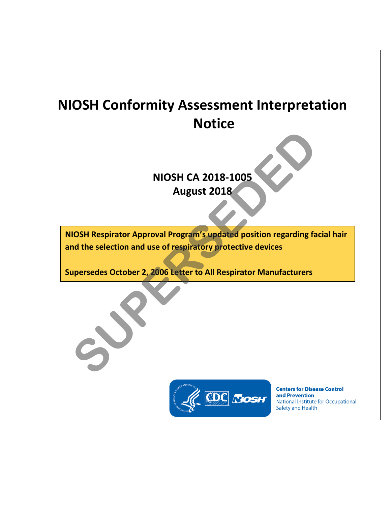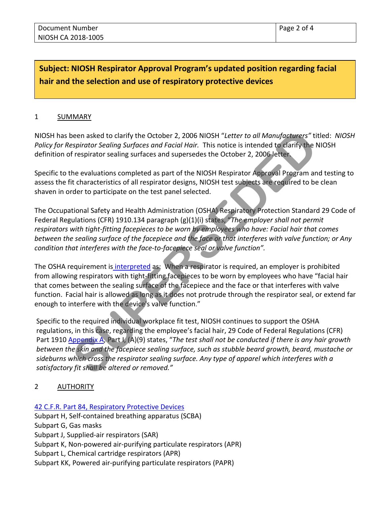# **Subject: NIOSH Respirator Approval Program's updated position regarding facial hair and the selection and use of respiratory protective devices**

#### 1 SUMMARY

NIOSH has been asked to clarify the October 2, 2006 NIOSH "*Letter to all Manufacturers"* titled: *NIOSH Policy for Respirator Sealing Surfaces and Facial Hair.* This notice is intended to clarify the NIOSH definition of respirator sealing surfaces and supersedes the October 2, 2006 letter.

Specific to the evaluations completed as part of the NIOSH Respirator Approval Program and testing to assess the fit characteristics of all respirator designs, NIOSH test subjects are required to be clean shaven in order to participate on the test panel selected.

The Occupational Safety and Health Administration (OSHA) Respiratory Protection Standard 29 Code of Federal Regulations (CFR) 1910.134 paragraph (g)(1)(i) states, "*The employer shall not permit respirators with tight-fitting facepieces to be worn by employees who have: Facial hair that comes between the sealing surface of the facepiece and the face or that interferes with valve function; or Any condition that interferes with the face-to-facepiece seal or valve function".* 

The OSHA requirement is interpreted as: When a respirator is required, an employer is prohibited from allowing respirators with tight-fitting facepieces to be worn by employees who have "facial hair that comes between the sealing surface of the facepiece and the face or that interferes with valve function. Facial hair is allowed as long as it does not protrude through the respirator seal, or extend far enough to interfere with the device's valve function."

Specific to the required individual workplace fit test, NIOSH continues to support the OSHA regulations, in this case, regarding the employee's facial hair, 29 Code of Federal Regulations (CFR) Part 1910 Appendix A, Part I, (A)(9) states, "*The test shall not be conducted if there is any hair growth between the skin and the facepiece sealing surface, such as stubble beard growth, beard, mustache or sideburns which cross the respirator sealing surface. Any type of apparel which interferes with a satisfactory fit shall be altered or removed."* **[SU](https://www.osha.gov/pls/oshaweb/owadisp.show_document?p_table=STANDARDS&p_id=9780)P[E](https://www.osha.gov/laws-regs/standardinterpretations/2012-09-14)RSEDED**

# 2 AUTHORITY

#### 42 C.F.R. Part 84, [Respiratory Protective Devices](https://www.ecfr.gov/cgi-bin/retrieveECFR?gp=&SID=c9c15fd462ffe5c4f4e85b73f161b2e0&r=PART&n=42y1.0.1.7.67#se42.1.84_163)

Subpart H, Self-contained breathing apparatus (SCBA) Subpart G, Gas masks Subpart J, Supplied-air respirators (SAR) Subpart K, Non-powered air-purifying particulate respirators (APR) Subpart L, Chemical cartridge respirators (APR) Subpart KK, Powered air-purifying particulate respirators (PAPR)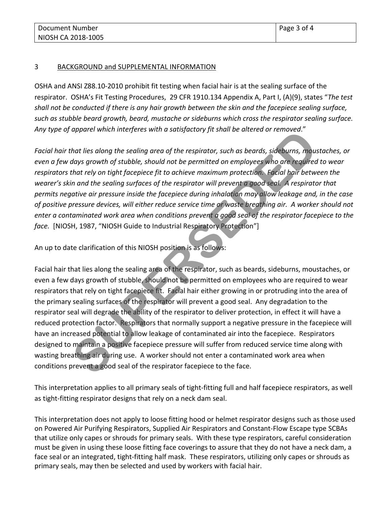## 3 BACKGROUND and SUPPLEMENTAL INFORMATION

OSHA and ANSI Z88.10-2010 prohibit fit testing when facial hair is at the sealing surface of the respirator. OSHA's Fit Testing Procedures, 29 CFR 1910.134 Appendix A, Part I, (A)(9), states "*The test shall not be conducted if there is any hair growth between the skin and the facepiece sealing surface, such as stubble beard growth, beard, mustache or sideburns which cross the respirator sealing surface. Any type of apparel which interferes with a satisfactory fit shall be altered or removed*."

*Facial hair that lies along the sealing area of the respirator, such as beards, sideburns, moustaches, or even a few days growth of stubble, should not be permitted on employees who are required to wear respirators that rely on tight facepiece fit to achieve maximum protection. Facial hair between the wearer's skin and the sealing surfaces of the respirator will prevent a good seal. A respirator that permits negative air pressure inside the facepiece during inhalation may allow leakage and, in the case of positive pressure devices, will either reduce service time or waste breathing air. A worker should not enter a contaminated work area when conditions prevent a good seal of the respirator facepiece to the face.* [NIOSH, 1987, "NIOSH Guide to Industrial Respiratory Protection"]

An up to date clarification of this NIOSH position is as follows:

Facial hair that lies along the sealing area of the respirator, such as beards, sideburns, moustaches, or even a few days growth of stubble, should not be permitted on employees who are required to wear respirators that rely on tight facepiece fit. Facial hair either growing in or protruding into the area of the primary sealing surfaces of the respirator will prevent a good seal. Any degradation to the respirator seal will degrade the ability of the respirator to deliver protection, in effect it will have a reduced protection factor. Respirators that normally support a negative pressure in the facepiece will have an increased potential to allow leakage of contaminated air into the facepiece. Respirators designed to maintain a positive facepiece pressure will suffer from reduced service time along with wasting breathing air during use. A worker should not enter a contaminated work area when conditions prevent a good seal of the respirator facepiece to the face. phpurer wincin interjetes with a subspactory jit shall be dileted or emboved.<br>
And lies along the sealing area of the respirator, such as beards, sideburns, may<br>
days growth of stubble, should not be permitted on employees

This interpretation applies to all primary seals of tight-fitting full and half facepiece respirators, as well as tight-fitting respirator designs that rely on a neck dam seal.

This interpretation does not apply to loose fitting hood or helmet respirator designs such as those used on Powered Air Purifying Respirators, Supplied Air Respirators and Constant-Flow Escape type SCBAs that utilize only capes or shrouds for primary seals. With these type respirators, careful consideration must be given in using these loose fitting face coverings to assure that they do not have a neck dam, a face seal or an integrated, tight-fitting half mask. These respirators, utilizing only capes or shrouds as primary seals, may then be selected and used by workers with facial hair.